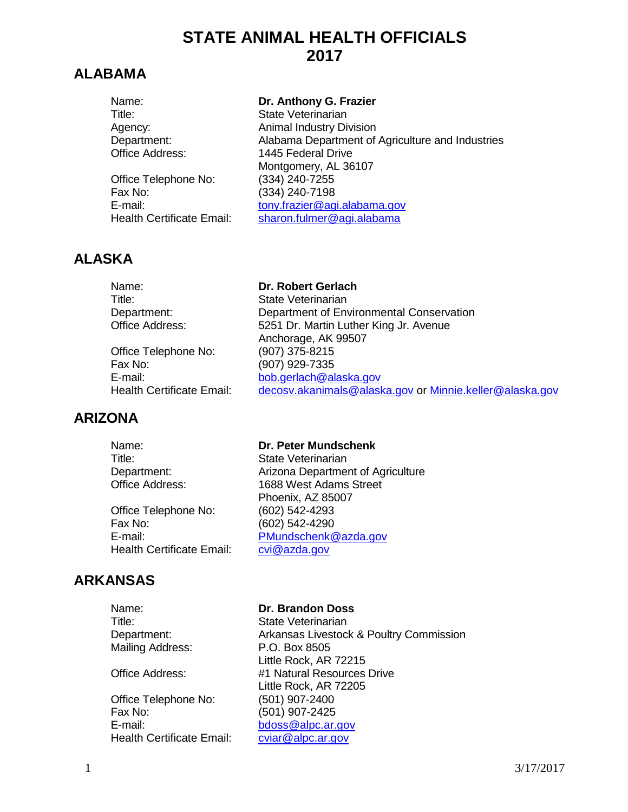# **STATE ANIMAL HEALTH OFFICIALS 2017**

# **ALABAMA**

| Name:                            | Dr. Anthony G. Frazier                           |
|----------------------------------|--------------------------------------------------|
| Title:                           | <b>State Veterinarian</b>                        |
| Agency:                          | <b>Animal Industry Division</b>                  |
| Department:                      | Alabama Department of Agriculture and Industries |
| Office Address:                  | 1445 Federal Drive                               |
|                                  | Montgomery, AL 36107                             |
| Office Telephone No:             | (334) 240-7255                                   |
| Fax No:                          | (334) 240-7198                                   |
| E-mail:                          | tony.frazier@agi.alabama.gov                     |
| <b>Health Certificate Email:</b> | sharon.fulmer@agi.alabama                        |

# **ALASKA**

Name: **Dr. Robert Gerlach**

Anchorage, AK 99507<br>(907) 375-8215

Title: State Veterinarian Department: Department of Environmental Conservation Office Address: 5251 Dr. Martin Luther King Jr. Avenue

Office Telephone No: Fax No: (907) 929-7335 E-mail: [bob.gerlach@alaska.gov](mailto:bob.gerlach@alaska.gov) Health Certificate Email: [decosv.akanimals@alaska.gov](mailto:decosv.akanimals@alaska.gov) or [Minnie.keller@alaska.gov](mailto:Minnie.keller@alaska.gov)

# **ARIZONA**

Name: **Dr. Peter Mundschenk** Title: State Veterinarian Department: Arizona Department of Agriculture Office Address: 1688 West Adams Street Phoenix, AZ 85007 Office Telephone No: (602) 542-4293 Fax No: (602) 542-4290 E-mail: [PMundschenk@azda.gov](mailto:PMundschenk@azda.gov) Health Certificate Email: [cvi@azda.gov](mailto:cvi@azda.gov)

# **ARKANSAS**

Title: State Veterinarian Mailing Address: P.O. Box 8505

Office Telephone No: (501) 907-2400<br>Fax No: (501) 907-2425 E-mail: [bdoss@alpc.ar.gov](mailto:bdoss@alpc.ar.gov) Health Certificate Email: [cviar@alpc.ar.gov](mailto:cviar@alpc.ar.gov)

#### Name: **Dr. Brandon Doss**

Department: Arkansas Livestock & Poultry Commission Little Rock, AR 72215 Office Address: #1 Natural Resources Drive Little Rock, AR 72205 (501) 907-2425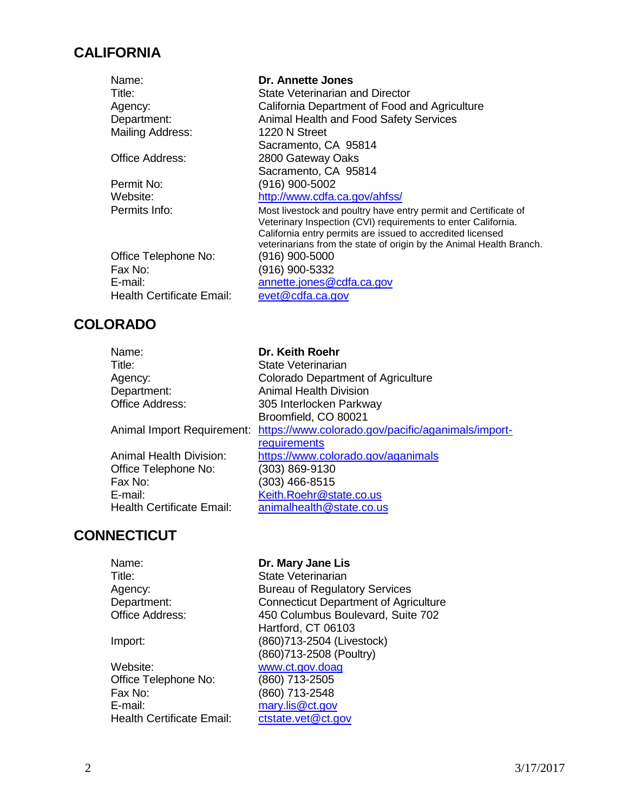# **CALIFORNIA**

| Name:                            | Dr. Annette Jones                                                                                                                                                                                                                                                     |
|----------------------------------|-----------------------------------------------------------------------------------------------------------------------------------------------------------------------------------------------------------------------------------------------------------------------|
| Title:                           | State Veterinarian and Director                                                                                                                                                                                                                                       |
| Agency:                          | California Department of Food and Agriculture                                                                                                                                                                                                                         |
| Department:                      | Animal Health and Food Safety Services                                                                                                                                                                                                                                |
| Mailing Address:                 | 1220 N Street                                                                                                                                                                                                                                                         |
|                                  | Sacramento, CA 95814                                                                                                                                                                                                                                                  |
| Office Address:                  | 2800 Gateway Oaks                                                                                                                                                                                                                                                     |
|                                  | Sacramento, CA 95814                                                                                                                                                                                                                                                  |
| Permit No:                       | (916) 900-5002                                                                                                                                                                                                                                                        |
| Website:                         | http://www.cdfa.ca.gov/ahfss/                                                                                                                                                                                                                                         |
| Permits Info:                    | Most livestock and poultry have entry permit and Certificate of<br>Veterinary Inspection (CVI) requirements to enter California.<br>California entry permits are issued to accredited licensed<br>veterinarians from the state of origin by the Animal Health Branch. |
| Office Telephone No:             | (916) 900-5000                                                                                                                                                                                                                                                        |
| Fax No:                          | (916) 900-5332                                                                                                                                                                                                                                                        |
| E-mail:                          | annette.jones@cdfa.ca.gov                                                                                                                                                                                                                                             |
| <b>Health Certificate Email:</b> | evet@cdfa.ca.gov                                                                                                                                                                                                                                                      |
|                                  |                                                                                                                                                                                                                                                                       |

| <b>COLORADO</b>                  |                                                    |
|----------------------------------|----------------------------------------------------|
| Name:                            | Dr. Keith Roehr                                    |
| Title:                           | State Veterinarian                                 |
| Agency:                          | Colorado Department of Agriculture                 |
| Department:                      | <b>Animal Health Division</b>                      |
| <b>Office Address:</b>           | 305 Interlocken Parkway                            |
|                                  | Broomfield, CO 80021                               |
| Animal Import Requirement:       | https://www.colorado.gov/pacific/aganimals/import- |
|                                  | requirements                                       |
| <b>Animal Health Division:</b>   | https://www.colorado.gov/aganimals                 |
| Office Telephone No:             | (303) 869-9130                                     |
| Fax No:                          | (303) 466-8515                                     |
| E-mail:                          | Keith.Roehr@state.co.us                            |
| <b>Health Certificate Email:</b> | animalhealth@state.co.us                           |

# **CONNECTICUT**

| Name:                     | Dr. Mary Jane Lis                            |
|---------------------------|----------------------------------------------|
| Title:                    | <b>State Veterinarian</b>                    |
| Agency:                   | <b>Bureau of Regulatory Services</b>         |
| Department:               | <b>Connecticut Department of Agriculture</b> |
| <b>Office Address:</b>    | 450 Columbus Boulevard, Suite 702            |
|                           | Hartford, CT 06103                           |
| Import:                   | (860)713-2504 (Livestock)                    |
|                           | (860)713-2508 (Poultry)                      |
| Website:                  | www.ct.gov.doag                              |
| Office Telephone No:      | (860) 713-2505                               |
| Fax No:                   | (860) 713-2548                               |
| E-mail:                   | mary.lis@ct.gov                              |
| Health Certificate Email: | ctstate.vet@ct.gov                           |
|                           |                                              |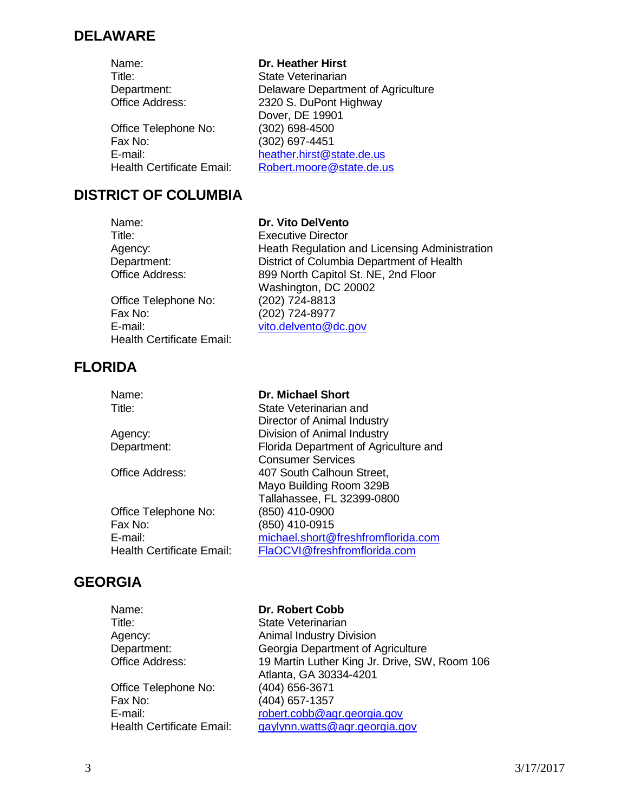#### **DELAWARE**

Name: **Dr. Heather Hirst**

Office Telephone No: (302) 698-4500<br>Fax No: (302) 697-4451

### Title: State Veterinarian Department: Delaware Department of Agriculture<br>
Office Address: 2320 S. DuPont Highway 2320 S. DuPont Highway Dover, DE 19901 (302) 697-4451 E-mail: [heather.hirst@state.de.us](mailto:heather.hirst@state.de.us) Health Certificate Email: [Robert.moore@state.de.us](mailto:Robert.moore@state.de.us)

#### **DISTRICT OF COLUMBIA**

Name: **Dr. Vito DelVento** Title: Executive Director Agency: Meath Regulation and Licensing Administration<br>
District of Columbia Department of Health District of Columbia Department of Health Office Address: 899 North Capitol St. NE, 2nd Floor Washington, DC 20002<br>(202) 724-8813 Office Telephone No: Fax No: (202) 724-8977 E-mail: [vito.delvento@dc.gov](mailto:vito.delvento@dc.gov)  Health Certificate Email:

# **FLORIDA**

| Name:                            | <b>Dr. Michael Short</b>              |
|----------------------------------|---------------------------------------|
| Title:                           | State Veterinarian and                |
|                                  | Director of Animal Industry           |
| Agency:                          | Division of Animal Industry           |
| Department:                      | Florida Department of Agriculture and |
|                                  | <b>Consumer Services</b>              |
| <b>Office Address:</b>           | 407 South Calhoun Street,             |
|                                  | Mayo Building Room 329B               |
|                                  | Tallahassee, FL 32399-0800            |
| Office Telephone No:             | (850) 410-0900                        |
| Fax No:                          | (850) 410-0915                        |
| E-mail:                          | michael.short@freshfromflorida.com    |
| <b>Health Certificate Email:</b> | FlaOCVI@freshfromflorida.com          |
|                                  |                                       |

# **GEORGIA**

Name: **Dr. Robert Cobb** Title: State Veterinarian Agency: **Animal Industry Division** Department: Georgia Department of Agriculture<br>Office Address: 19 Martin Luther King Jr. Drive, SW 19 Martin Luther King Jr. Drive, SW, Room 106 Atlanta, GA 30334-4201 Office Telephone No: (404) 656-3671 Fax No: (404) 657-1357 E-mail: [robert.cobb@agr.georgia.gov](mailto:robert.cobb@agr.georgia.gov) Health Certificate Email: [gaylynn.watts@agr.georgia.gov](mailto:gaylynn.watts@agr.georgia.gov)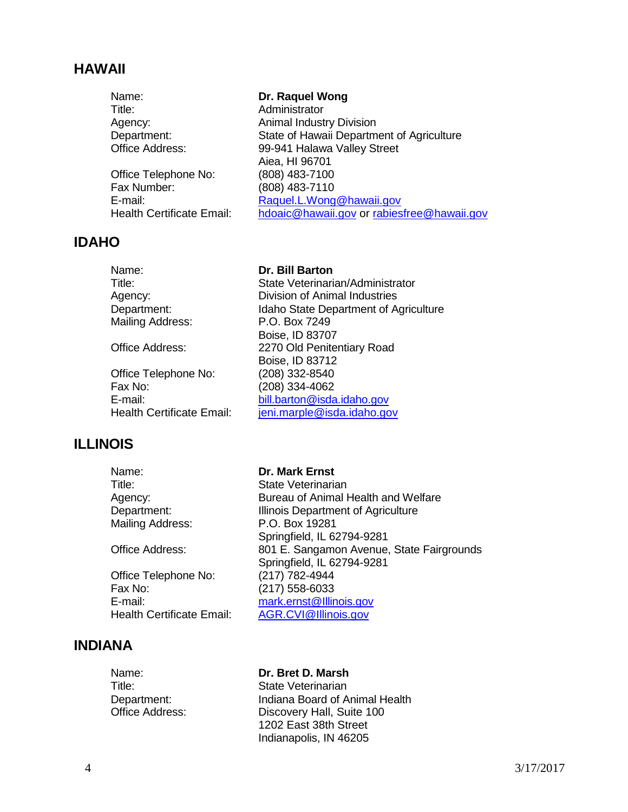#### **HAWAII**

| Name:                            | Dr. Raquel Wong                            |
|----------------------------------|--------------------------------------------|
| Title:                           | Administrator                              |
| Agency:                          | <b>Animal Industry Division</b>            |
| Department:                      | State of Hawaii Department of Agriculture  |
| Office Address:                  | 99-941 Halawa Valley Street                |
|                                  | Aiea, HI 96701                             |
| Office Telephone No:             | (808) 483-7100                             |
| Fax Number:                      | (808) 483-7110                             |
| E-mail:                          | Raquel.L.Wong@hawaii.gov                   |
| <b>Health Certificate Email:</b> | hdoaic@hawaii.gov or rabiesfree@hawaii.gov |

#### **IDAHO**

Mailing Address: P.O. Box 7249

Office Telephone No: (208) 332-8540<br>Fax No: (208) 334-4062

### Name: **Dr. Bill Barton**

 Title: State Veterinarian/Administrator Agency: Division of Animal Industries Department: Idaho State Department of Agriculture Boise, ID 83707 Office Address: 2270 Old Penitentiary Road Boise, ID 83712 (208) 334-4062 E-mail: [bill.barton@isda.idaho.gov](mailto:bill.barton@isda.idaho.gov) Health Certificate Email: ieni.marple@isda.idaho.gov

#### **ILLINOIS**

Name: **Dr. Mark Ernst** Title: State Veterinarian Agency: Bureau of Animal Health and Welfare Department: Illinois Department of Agriculture Mailing Address: P.O. Box 19281 Springfield, IL 62794-9281 Office Address: 801 E. Sangamon Avenue, State Fairgrounds Springfield, IL 62794-9281<br>(217) 782-4944 Office Telephone No:<br>Fax No: (217) 558-6033 E-mail: [mark.ernst@Illinois.gov](mailto:mark.ernst@Illinois.gov) Health Certificate Email: [AGR.CVI@Illinois.gov](mailto:AGR.CVI@Illinois.gov)

#### **INDIANA**

Name: **Dr. Bret D. Marsh** Title: State Veterinarian

Department: Indiana Board of Animal Health<br>Office Address: Discovery Hall. Suite 100 Discovery Hall, Suite 100 1202 East 38th Street Indianapolis, IN 46205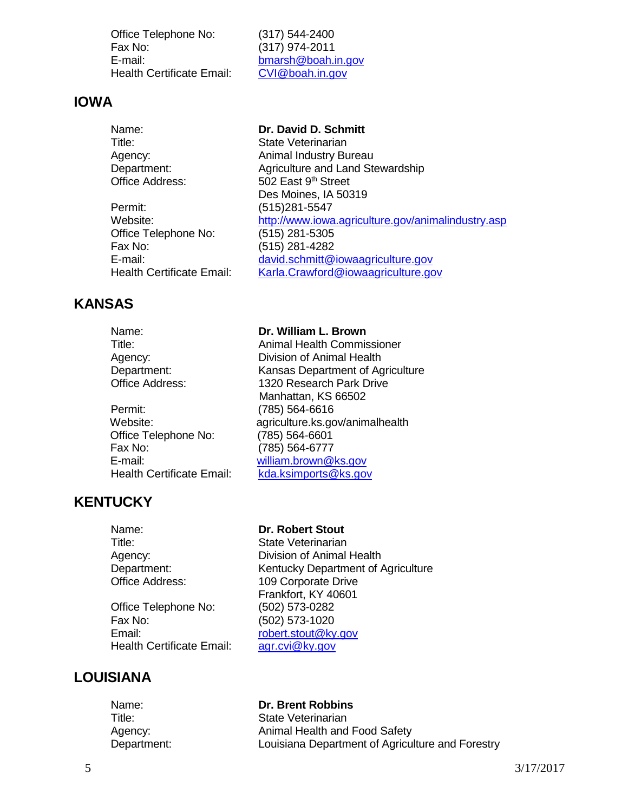Office Telephone No: (317) 544-2400 Fax No: (317) 974-2011 E-mail: [bmarsh@boah.in.gov](mailto:bmarsh@boah.in.gov)<br>
Health Certificate Email: CVI@boah.in.gov Health Certificate Email:

#### **IOWA**

| Name:                            | Dr. David D. Schmitt                               |
|----------------------------------|----------------------------------------------------|
| Title:                           | State Veterinarian                                 |
| Agency:                          | Animal Industry Bureau                             |
| Department:                      | Agriculture and Land Stewardship                   |
| <b>Office Address:</b>           | 502 East 9 <sup>th</sup> Street                    |
|                                  | Des Moines, IA 50319                               |
| Permit:                          | (515)281-5547                                      |
| Website:                         | http://www.iowa.agriculture.gov/animalindustry.asp |
| Office Telephone No:             | (515) 281-5305                                     |
| Fax No:                          | (515) 281-4282                                     |
| E-mail:                          | david.schmitt@iowaagriculture.gov                  |
| <b>Health Certificate Email:</b> | Karla.Crawford@iowaagriculture.gov                 |

### **KANSAS**

Name: **Dr. William L. Brown** Title: Animal Health Commissioner Agency: Division of Animal Health Department: Kansas Department of Agriculture Office Address: 1320 Research Park Drive Manhattan, KS 66502 Permit: (785) 564-6616 Website: agriculture.ks.gov/animalhealth Office Telephone No: (785) 564-6601 Fax No: (785) 564-6777 E-mail: [william.brown@ks.gov](mailto:william.brown@ks.gov) Health Certificate Email: [kda.ksimports@ks.gov](mailto:kda.ksimports@ks.gov)

### **KENTUCKY**

Office Telephone No: (502) 573-0282 Fax No: (502) 573-1020 Email: [robert.stout@ky.gov](mailto:robert.stout@ky.gov)<br>
Health Certificate Email: agr.cvi@ky.gov Health Certificate Email:

#### Name: **Dr. Robert Stout**

Title: State Veterinarian Agency: Division of Animal Health<br>Department: Channel Kentucky Department of A Department: Kentucky Department of Agriculture<br>
Office Address: 109 Corporate Drive 109 Corporate Drive Frankfort, KY 40601

### **LOUISIANA**

| Name:       | <b>Dr. Brent Robbins</b>                         |
|-------------|--------------------------------------------------|
| Title:      | State Veterinarian                               |
| Agency:     | Animal Health and Food Safety                    |
| Department: | Louisiana Department of Agriculture and Forestry |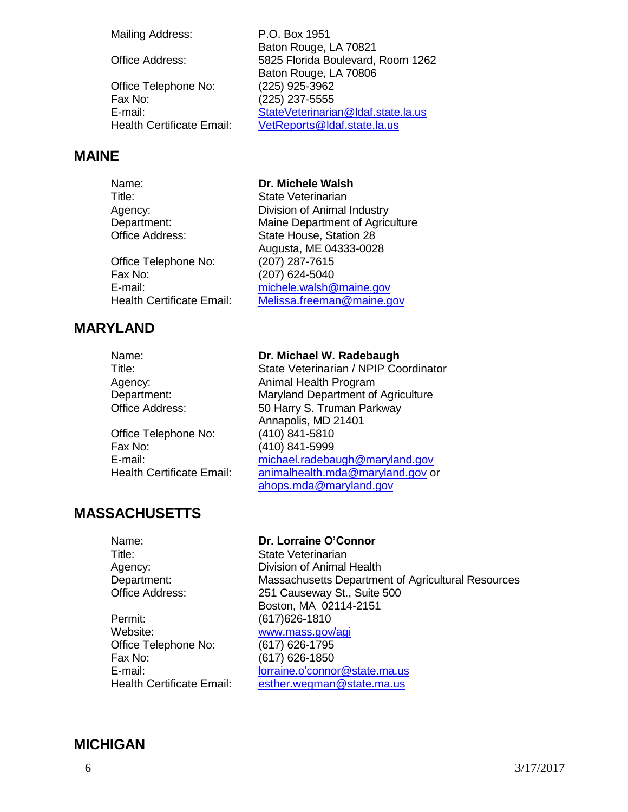Mailing Address: P.O. Box 1951

Office Address: 5825 Florida Boulevard, Room 1262

Office Telephone No: (225) 925-3962 Fax No: (225) 237-5555 E-mail: [StateVeterinarian@ldaf.state.la.us](mailto:StateVeterinarian@ldaf.state.la.us) Health Certificate Email: [VetReports@ldaf.state.la.us](mailto:VetReports@ldaf.state.la.us)

#### **MAINE**

Name: **Dr. Michele Walsh** Title: State Veterinarian

Office Telephone No: (207) 287-7615 Fax No: (207) 624-5040

### **MARYLAND**

Agency: Division of Animal Industry Department: Maine Department of Agriculture Office Address: State House, Station 28 Augusta, ME 04333-0028 E-mail: [michele.walsh@maine.gov](mailto:michele.walsh@maine.gov) Health Certificate Email: [Melissa.freeman@maine.gov](mailto:Melissa.freeman@maine.gov)

Baton Rouge, LA 70821

Baton Rouge, LA 70806

Name: **Dr. Michael W. Radebaugh** Title: State Veterinarian / NPIP Coordinator Agency: Animal Health Program Department: Maryland Department of Agriculture Office Address: 50 Harry S. Truman Parkway Annapolis, MD 21401 Office Telephone No: (410) 841-5810 Fax No: (410) 841-5999 E-mail: [michael.radebaugh@maryland.gov](mailto:michael.radebaugh@maryland.gov) Health Certificate Email: [animalhealth.mda@maryland.gov](mailto:animalhealth.mda@maryland.gov) or [ahops.mda@maryland.gov](mailto:ahops.mda@maryland.gov)

# **MASSACHUSETTS**

Title: State Veterinarian

Permit: (617)626-1810 Website: [www.mass.gov/agi](http://www.mass.gov/agi) Office Telephone No: (617) 626-1795 Fax No: (617) 626-1850

#### Name: **Dr. Lorraine O'Connor**

Agency: Division of Animal Health Department: Massachusetts Department of Agricultural Resources<br>Office Address: 251 Causeway St., Suite 500 251 Causeway St., Suite 500 Boston, MA 02114-2151

E-mail: [lorraine.o'connor@state.ma.us](mailto:lorraine.o’connor@state.ma.us) Health Certificate Email: [esther.wegman@state.ma.us](mailto:esther.wegman@state.ma.us)

#### **MICHIGAN**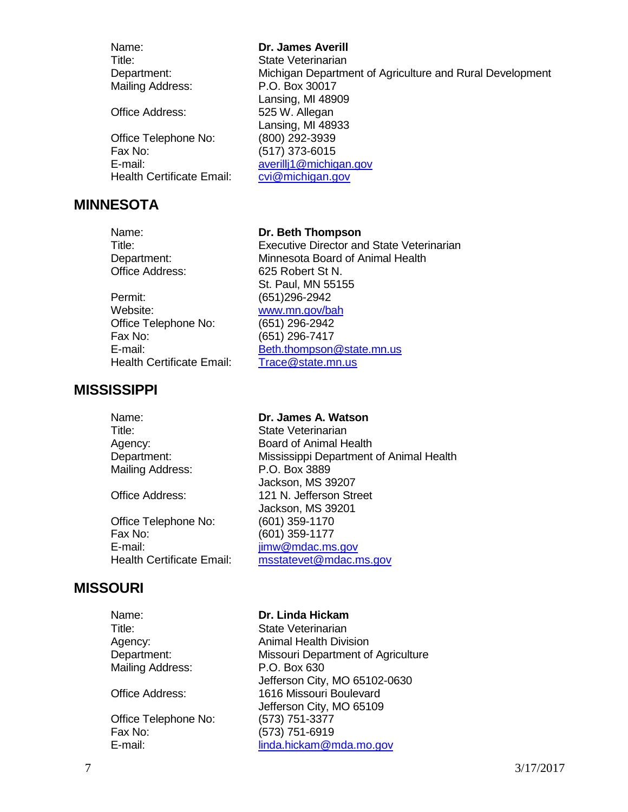Name: **Dr. James Averill** Title: State Veterinarian Department: Michigan Department of Agriculture and Rural Development Mailing Address: P.O. Box 30017

Office Address: 525 W. Allegan

Office Telephone No: (800) 292-3939 Fax No: (517) 373-6015 Health Certificate Email:

#### **MINNESOTA**

Name: **Dr. Beth Thompson**

Permit: (651)296-2942 Website: [www.mn.gov/bah](http://www.mn.gov/bah) Office Telephone No: (651) 296-2942 Fax No: (651) 296-7417 Health Certificate Email: [Trace@state.mn.us](mailto:Trace@state.mn.us)

#### **MISSISSIPPI**

# Lansing, MI 48933

[averillj1@michigan.gov](mailto:averillj1@michigan.gov)<br>cvi@michigan.gov

Lansing, MI 48909

Title: Executive Director and State Veterinarian Department: Minnesota Board of Animal Health Office Address: 625 Robert St N. St. Paul, MN 55155 E-mail: [Beth.thompson@state.mn.us](mailto:Beth.thompson@state.mn.us)

Name: **Dr. James A. Watson** Title: State Veterinarian Agency: Board of Animal Health Department: Mississippi Department of Animal Health Mailing Address: P.O. Box 3889 Jackson, MS 39207 Office Address: 121 N. Jefferson Street Jackson, MS 39201 Office Telephone No: (601) 359-1170 Fax No: (601) 359-1177 E-mail: imw@mdac.ms.gov Health Certificate Email: [msstatevet@mdac.ms.gov](mailto:msstatevet@mdac.ms.gov)

### **MISSOURI**

Title: State Veterinarian Mailing Address: P.O. Box 630

Office Telephone No: (573) 751-3377 Fax No: (573) 751-6919

Name: **Dr. Linda Hickam**

Agency: Animal Health Division Department: Missouri Department of Agriculture Jefferson City, MO 65102-0630 Office Address: 1616 Missouri Boulevard Jefferson City, MO 65109 E-mail: [linda.hickam@mda.mo.gov](mailto:linda.hickam@mda.mo.gov)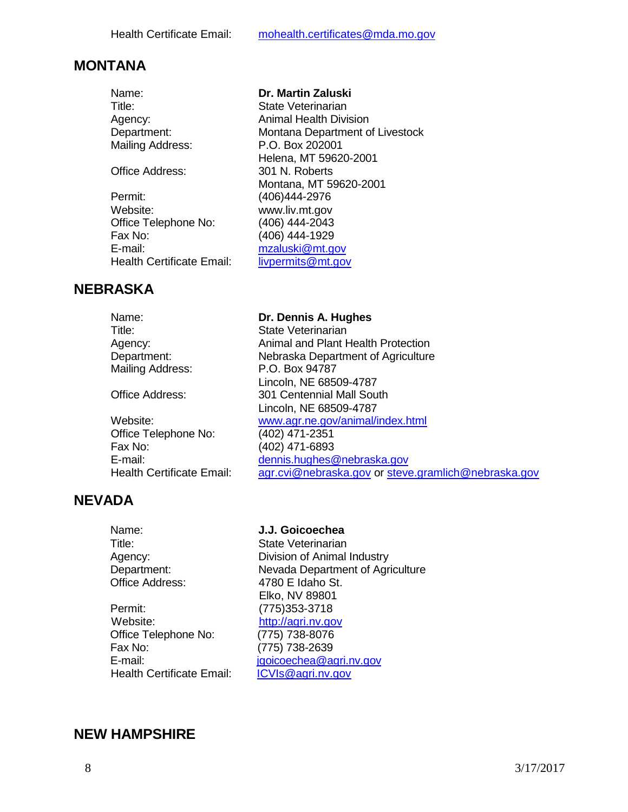# **MONTANA**

| Name:                     | Dr. Martin Zaluski              |
|---------------------------|---------------------------------|
| Title:                    | State Veterinarian              |
| Agency:                   | <b>Animal Health Division</b>   |
| Department:               | Montana Department of Livestock |
| Mailing Address:          | P.O. Box 202001                 |
|                           | Helena, MT 59620-2001           |
| <b>Office Address:</b>    | 301 N. Roberts                  |
|                           | Montana, MT 59620-2001          |
| Permit:                   | (406)444-2976                   |
| Website:                  | www.liv.mt.gov                  |
| Office Telephone No:      | (406) 444-2043                  |
| Fax No:                   | (406) 444-1929                  |
| E-mail:                   | mzaluski@mt.gov                 |
| Health Certificate Email: | livpermits@mt.gov               |
|                           |                                 |

# **NEBRASKA**

| Name:                            | Dr. Dennis A. Hughes                                |
|----------------------------------|-----------------------------------------------------|
| Title:                           | State Veterinarian                                  |
| Agency:                          | Animal and Plant Health Protection                  |
| Department:                      | Nebraska Department of Agriculture                  |
| Mailing Address:                 | P.O. Box 94787                                      |
|                                  | Lincoln, NE 68509-4787                              |
| <b>Office Address:</b>           | 301 Centennial Mall South                           |
|                                  | Lincoln, NE 68509-4787                              |
| Website:                         | www.agr.ne.gov/animal/index.html                    |
| Office Telephone No:             | (402) 471-2351                                      |
| Fax No:                          | (402) 471-6893                                      |
| E-mail:                          | dennis.hughes@nebraska.gov                          |
| <b>Health Certificate Email:</b> | agr.cvi@nebraska.gov or steve.gramlich@nebraska.gov |

### **NEVADA**

| Name:                            | J.J. Goicoechea                  |
|----------------------------------|----------------------------------|
| Title:                           | State Veterinarian               |
| Agency:                          | Division of Animal Industry      |
| Department:                      | Nevada Department of Agriculture |
| Office Address:                  | 4780 E Idaho St.                 |
|                                  | Elko, NV 89801                   |
| Permit:                          | (775) 353-3718                   |
| Website:                         | http://agri.nv.gov               |
| Office Telephone No:             | (775) 738-8076                   |
| Fax No:                          | (775) 738-2639                   |
| E-mail:                          | jgoicoechea@agri.nv.gov          |
| <b>Health Certificate Email:</b> | ICVIs@agri.nv.gov                |
|                                  |                                  |

# **NEW HAMPSHIRE**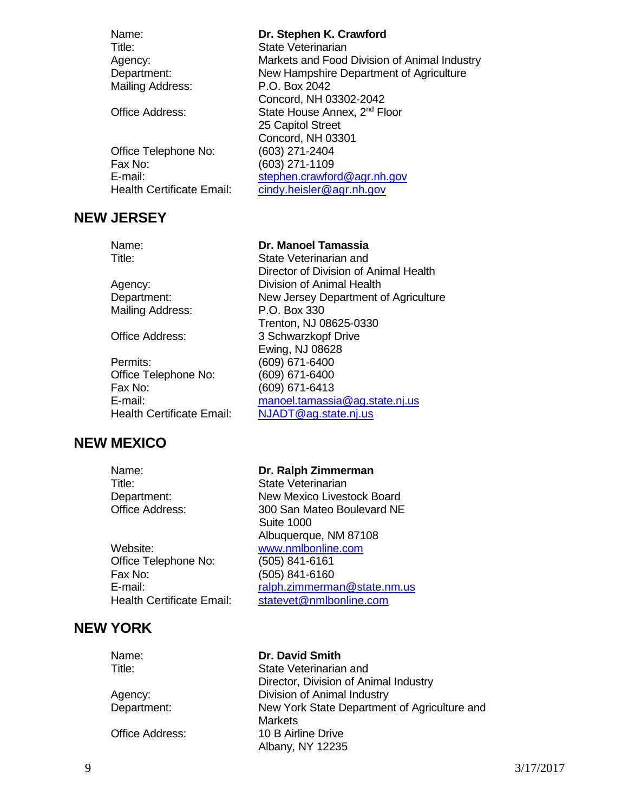| Name:                     | Dr. Stephen K. Crawford                      |
|---------------------------|----------------------------------------------|
| Title:                    | State Veterinarian                           |
| Agency:                   | Markets and Food Division of Animal Industry |
| Department:               | New Hampshire Department of Agriculture      |
| Mailing Address:          | P.O. Box 2042                                |
|                           | Concord, NH 03302-2042                       |
| Office Address:           | State House Annex, 2 <sup>nd</sup> Floor     |
|                           | 25 Capitol Street                            |
|                           | Concord, NH 03301                            |
| Office Telephone No:      | (603) 271-2404                               |
| Fax No:                   | (603) 271-1109                               |
| E-mail:                   | stephen.crawford@agr.nh.gov                  |
| Health Certificate Email: | cindy.heisler@agr.nh.gov                     |
|                           |                                              |

#### **NEW JERSEY**

#### Name: **Dr. Manoel Tamassia**

Trenton, NJ 08625-0330

[NJADT@ag.state.nj.us](mailto:NJADT@ag.state.nj.us)

Ewing, NJ 08628

Director of Division of Animal Health

Title: State Veterinarian and

Agency: Division of Animal Health Department: New Jersey Department of Agriculture Mailing Address: P.O. Box 330 Office Address: 3 Schwarzkopf Drive

Permits: (609) 671-6400 Office Telephone No: (609) 671-6400 Fax No: (609) 671-6413 E-mail: [manoel.tamassia@ag.state.nj.us](mailto:manoel.tamassia@ag.state.nj.us)<br>
Health Certificate Email: NJADT@ag.state.nj.us

### **NEW MEXICO**

Website: [www.nmlbonline.com](http://www.nmlbonline.com/) Office Telephone No: (505) 841-6161 Fax No: (505) 841-6160

# Name: **Dr. Ralph Zimmerman** Title: State Veterinarian Department: New Mexico Livestock Board Office Address: 300 San Mateo Boulevard NE Suite 1000 Albuquerque, NM 87108 E-mail: [ralph.zimmerman@state.nm.us](mailto:ralph.zimmerman@state.nm.us) Health Certificate Email: [statevet@nmlbonline.com](mailto:statevet@nmlbonline.com)

# **NEW YORK**

Name: **Dr. David Smith** Title: State Veterinarian and Director, Division of Animal Industry Agency: Division of Animal Industry Department: New York State Department of Agriculture and **Markets** Office Address: 10 B Airline Drive Albany, NY 12235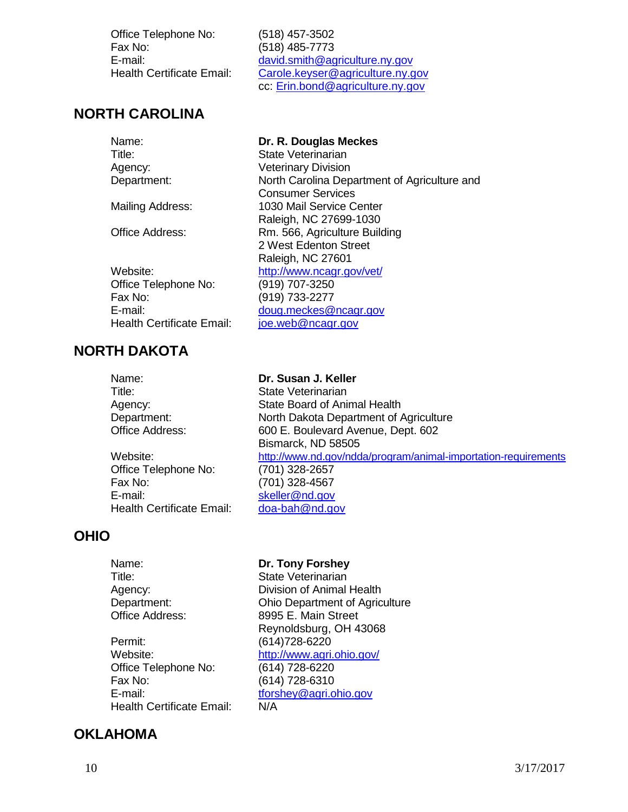Office Telephone No: (518) 457-3502 Fax No: (518) 485-7773

 E-mail: [david.smith@agriculture.ny.gov](mailto:david.smith@agriculture.ny.gov) Health Certificate Email: [Carole.keyser@agriculture.ny.gov](mailto:Carole.keyser@agriculture.ny.gov) cc: [Erin.bond@agriculture.ny.gov](mailto:Erin.bond@agriculture.ny.gov)

# **NORTH CAROLINA**

| Name:                     | Dr. R. Douglas Meckes                        |
|---------------------------|----------------------------------------------|
| Title:                    | State Veterinarian                           |
| Agency:                   | <b>Veterinary Division</b>                   |
| Department:               | North Carolina Department of Agriculture and |
|                           | <b>Consumer Services</b>                     |
| <b>Mailing Address:</b>   | 1030 Mail Service Center                     |
|                           | Raleigh, NC 27699-1030                       |
| <b>Office Address:</b>    | Rm. 566, Agriculture Building                |
|                           | 2 West Edenton Street                        |
|                           | Raleigh, NC 27601                            |
| Website:                  | http://www.ncagr.gov/vet/                    |
| Office Telephone No:      | (919) 707-3250                               |
| Fax No:                   | (919) 733-2277                               |
| E-mail:                   | doug.meckes@ncagr.gov                        |
| Health Certificate Email: | joe.web@ncagr.gov                            |
|                           |                                              |

# **NORTH DAKOTA**

Office Telephone No: (701) 328-2657 Fax No: (701) 328-4567 E-mail: [skeller@nd.gov](mailto:skeller@nd.gov) Health Certificate Email: [doa-bah@nd.gov](mailto:doa-bah@nd.gov)

# **OHIO**

Name: **Dr. Susan J. Keller** Title: State Veterinarian Agency: State Board of Animal Health Department: North Dakota Department of Agriculture Office Address: 600 E. Boulevard Avenue, Dept. 602 Bismarck, ND 58505 Website: <http://www.nd.gov/ndda/program/animal-importation-requirements>

#### Name: **Dr. Tony Forshey** Title: State Veterinarian Agency: Division of Animal Health Department: Ohio Department of Agriculture Office Address: 8995 E. Main Street Reynoldsburg, OH 43068 Permit: (614)728-6220<br>
Website: http://www.agri. <http://www.agri.ohio.gov/> Office Telephone No: (614) 728-6220 Fax No: (614) 728-6310 E-mail: the thorshey@agri.ohio.gov Health Certificate Email: N/A

### **OKLAHOMA**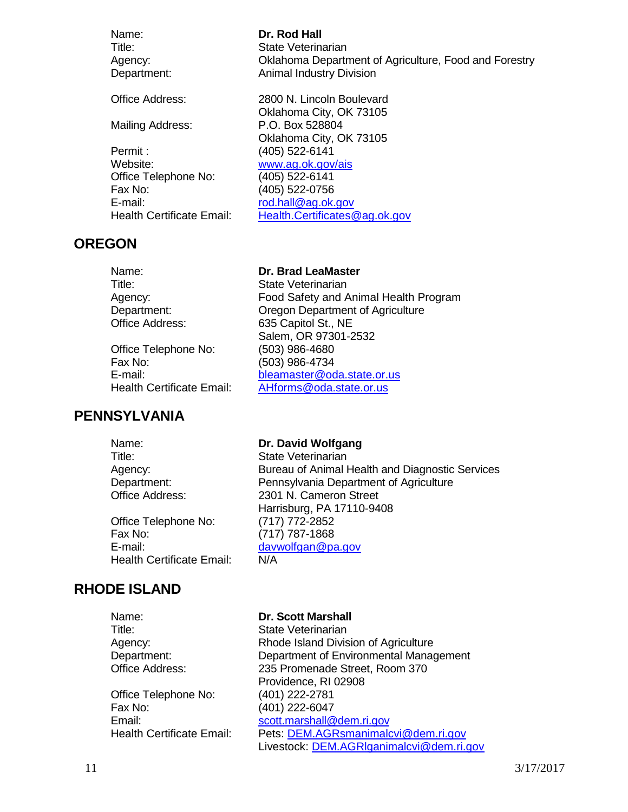Name: **Dr. Rod Hall** Title: State Veterinarian Agency: Oklahoma Department of Agriculture, Food and Forestry Department: **Animal Industry Division** 

Office Address: 2800 N. Lincoln Boulevard

Mailing Address: P.O. Box 528804

Permit : (405) 522-6141 Website: [www.ag.ok.gov/ais](http://www.ag.ok.gov/ais) Office Telephone No: (405) 522-6141 Fax No: (405) 522-0756 E-mail: [rod.hall@ag.ok.gov](mailto:rod.hall@ag.ok.gov) Health Certificate Email: [Health.Certificates@ag.ok.gov](mailto:Health.Certificates@ag.ok.gov)

#### **OREGON**

Name: **Dr. Brad LeaMaster** Title: State Veterinarian

Office Telephone No: (503) 986-4680 Fax No: (503) 986-4734

#### **PENNSYLVANIA**

Agency: Food Safety and Animal Health Program

Oklahoma City, OK 73105

Oklahoma City, OK 73105

Department: Oregon Department of Agriculture Office Address: 635 Capitol St., NE Salem, OR 97301-2532 E-mail: [bleamaster@oda.state.or.us](mailto:bleamaster@oda.state.or.us) Health Certificate Email: [AHforms@oda.state.or.us](mailto:AHforms@oda.state.or.us)

| Name:                            | Dr. David Wolfgang                              |
|----------------------------------|-------------------------------------------------|
| Title:                           | <b>State Veterinarian</b>                       |
| Agency:                          | Bureau of Animal Health and Diagnostic Services |
| Department:                      | Pennsylvania Department of Agriculture          |
| Office Address:                  | 2301 N. Cameron Street                          |
|                                  | Harrisburg, PA 17110-9408                       |
| Office Telephone No:             | (717) 772-2852                                  |
| Fax No:                          | $(717)$ 787-1868                                |
| E-mail:                          | davwolfgan@pa.gov                               |
| <b>Health Certificate Email:</b> | N/A                                             |

### **RHODE ISLAND**

Title: State Veterinarian Office Telephone No: (401) 222-2781 Fax No: (401) 222-6047 Email: [scott.marshall@dem.ri.gov](mailto:scott.marshall@dem.ri.gov)

#### Name: **Dr. Scott Marshall**

Agency: Rhode Island Division of Agriculture Department: Department of Environmental Management Office Address: 235 Promenade Street, Room 370 Providence, RI 02908 Health Certificate Email: Pets: [DEM.AGRsmanimalcvi@dem.ri.gov](mailto:DEM.AGRsmanimalcvi@dem.ri.gov) Livestock: [DEM.AGRlganimalcvi@dem.ri.gov](mailto:DEM.AGRlganimalcvi@dem.ri.gov)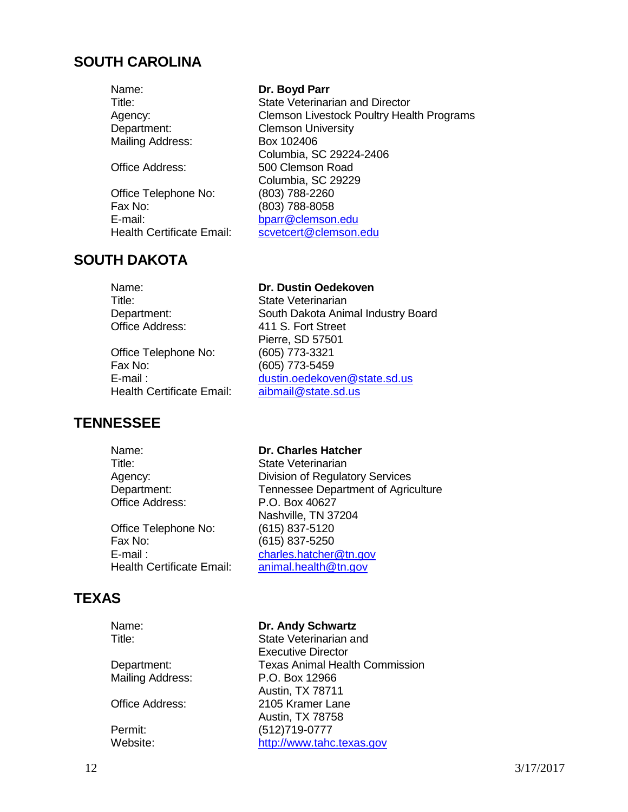#### **SOUTH CAROLINA**

Name: **Dr. Boyd Parr** Mailing Address: Box 102406

Office Telephone No: (803) 788-2260 Fax No: (803) 788-8058 E-mail: [bparr@clemson.edu](mailto:bparr@clemson.edu)<br>
Health Certificate Email: scyetcert@clemson.

# **SOUTH DAKOTA**

# Name: **Dr. Dustin Oedekoven**

Pierre, SD 57501

Title: State Veterinarian Department: South Dakota Animal Industry Board Office Address: 411 S. Fort Street

Office Telephone No: (605) 773-3321 Fax No: (605) 773-5459<br>E-mail : (605) dustin.oedekove Health Certificate Email:

### **TENNESSEE**

Title: State Veterinarian

Office Telephone No: (615) 837-5120 Fax No: (615) 837-5250 E-mail : [charles.hatcher@tn.gov](mailto:charles.hatcher@tn.gov)

### **TEXAS**

Name: **Dr. Andy Schwartz** Title: State Veterinarian and

Executive Director

Austin, TX 78711

Austin, TX 78758

Department: Texas Animal Health Commission Mailing Address: P.O. Box 12966

Office Address: 2105 Kramer Lane

Permit: (512)719-0777 Website: [http://www.tahc.texas.gov](http://www.tahc.texas.gov/)

[dustin.oedekoven@state.sd.us](mailto:dustin.oedekoven@state.sd.us)<br>aibmail@state.sd.us Name: **Dr. Charles Hatcher**

Agency: Division of Regulatory Services Department: Tennessee Department of Agriculture<br>Office Address: P.O. Box 40627 P.O. Box 40627 Nashville, TN 37204 Health Certificate Email: [animal.health@tn.gov](mailto:animal.health@tn.gov)

Title: State Veterinarian and Director Agency: Clemson Livestock Poultry Health Programs Department: Clemson University Columbia, SC 29224-2406 Office Address: 500 Clemson Road Columbia, SC 29229 [scvetcert@clemson.edu](mailto:scvetcert@clemson.edu)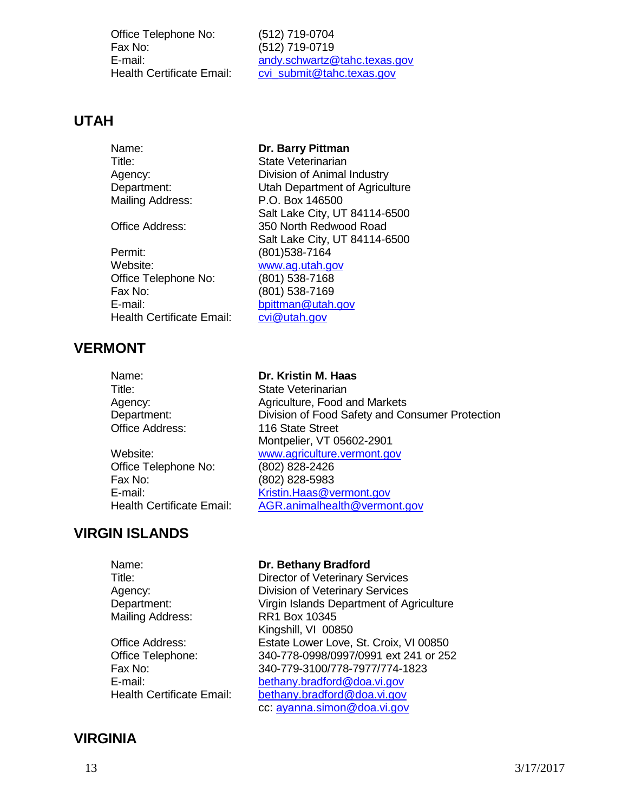Office Telephone No: (512) 719-0704 Fax No: (512) 719-0719

E-mail: [andy.schwartz@tahc.texas.gov](mailto:andy.schwartz@tahc.texas.gov) Health Certificate Email: [cvi\\_submit@tahc.texas.gov](mailto:cvi_submit@tahc.texas.gov)

Salt Lake City, UT 84114-6500

Salt Lake City, UT 84114-6500

#### **UTAH**

Name: **Dr. Barry Pittman** Title: State Veterinarian Agency: Division of Animal Industry Department: Utah Department of Agriculture Mailing Address: P.O. Box 146500

Office Address: 350 North Redwood Road

Permit: (801)538-7164 Website: [www.ag.utah.gov](http://www.ag.utah.gov/) Office Telephone No: (801) 538-7168 Fax No: (801) 538-7169 E-mail: [bpittman@utah.gov](mailto:bpittman@utah.gov) Health Certificate Email: [cvi@utah.gov](mailto:cvi@utah.gov)

# **VERMONT**

Title: State Veterinarian

Office Telephone No: (802) 828-2426 Fax No: (802) 828-5983

### Name: **Dr. Kristin M. Haas**

Agency: Agriculture, Food and Markets Department: Division of Food Safety and Consumer Protection Office Address: 116 State Street Montpelier, VT 05602-2901 Website: [www.agriculture.vermont.gov](http://www.agriculture.vermont.gov/) E-mail: [Kristin.Haas@vermont.gov](mailto:Kristin.Haas@vermont.gov) Health Certificate Email: [AGR.animalhealth@vermont.gov](mailto:AGR.animalhealth@vermont.gov)

### **VIRGIN ISLANDS**

Name: **Dr. Bethany Bradford** Title: Director of Veterinary Services Agency: Division of Veterinary Services Department: Virgin Islands Department of Agriculture Mailing Address: RR1 Box 10345 Kingshill, VI 00850 Office Address: Estate Lower Love, St. Croix, VI 00850 Office Telephone: 340-778-0998/0997/0991 ext 241 or 252 Fax No: 340-779-3100/778-7977/774-1823 E-mail:<br>
Health Certificate Email: [bethany.bradford@doa.vi.gov](mailto:bethany.bradford@doa.vi.gov) [bethany.bradford@doa.vi.gov](mailto:bethany.bradford@doa.vi.gov) cc: [ayanna.simon@doa.vi.gov](mailto:ayanna.simon@doa.vi.gov)

### **VIRGINIA**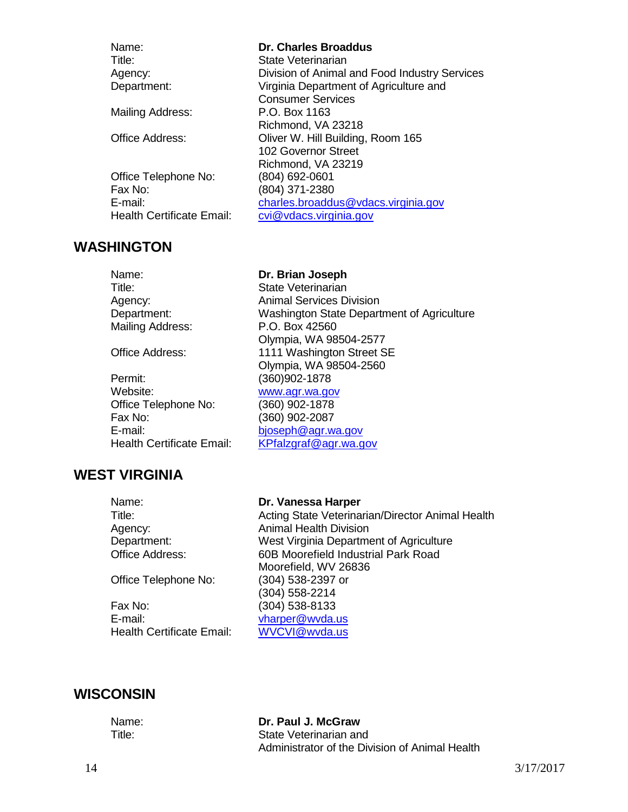| Name:                     | Dr. Charles Broaddus                          |
|---------------------------|-----------------------------------------------|
| Title:                    | State Veterinarian                            |
| Agency:                   | Division of Animal and Food Industry Services |
| Department:               | Virginia Department of Agriculture and        |
|                           | <b>Consumer Services</b>                      |
| Mailing Address:          | P.O. Box 1163                                 |
|                           | Richmond, VA 23218                            |
| Office Address:           | Oliver W. Hill Building, Room 165             |
|                           | 102 Governor Street                           |
|                           | Richmond, VA 23219                            |
| Office Telephone No:      | (804) 692-0601                                |
| Fax No:                   | (804) 371-2380                                |
| $E$ -mail:                | charles.broaddus@vdacs.virginia.gov           |
| Health Certificate Email: | cvi@vdacs.virginia.gov                        |
|                           |                                               |

#### **WASHINGTON**

#### Name: **Dr. Brian Joseph**

Olympia, WA 98504-2577

Olympia, WA 98504-2560

Title: State Veterinarian Agency: Animal Services Division Department: Washington State Department of Agriculture Mailing Address: P.O. Box 42560

Office Address: 1111 Washington Street SE

Permit: (360)902-1878 Website: [www.agr.wa.gov](http://www.agr.wa.gov/) Office Telephone No: (360) 902-1878 Fax No: (360) 902-2087 E-mail: [bjoseph@agr.wa.gov](mailto:bjoseph@agr.wa.gov) Health Certificate Email: [KPfalzgraf@agr.wa.gov](mailto:KPfalzgraf@agr.wa.gov)

# **WEST VIRGINIA**

Office Telephone No: (304) 538-2397 or

Fax No: (304) 538-8133 E-mail: [vharper@wvda.us](mailto:vharper@wvda.us) Health Certificate Email: [WVCVI@wvda.us](mailto:WVCVI@wvda.us)

#### Name: **Dr. Vanessa Harper**

Title: Acting State Veterinarian/Director Animal Health Agency: Animal Health Division Department: West Virginia Department of Agriculture Office Address: 60B Moorefield Industrial Park Road Moorefield, WV 26836 (304) 558-2214

### **WISCONSIN**

Name: **Dr. Paul J. McGraw** Title: State Veterinarian and Administrator of the Division of Animal Health